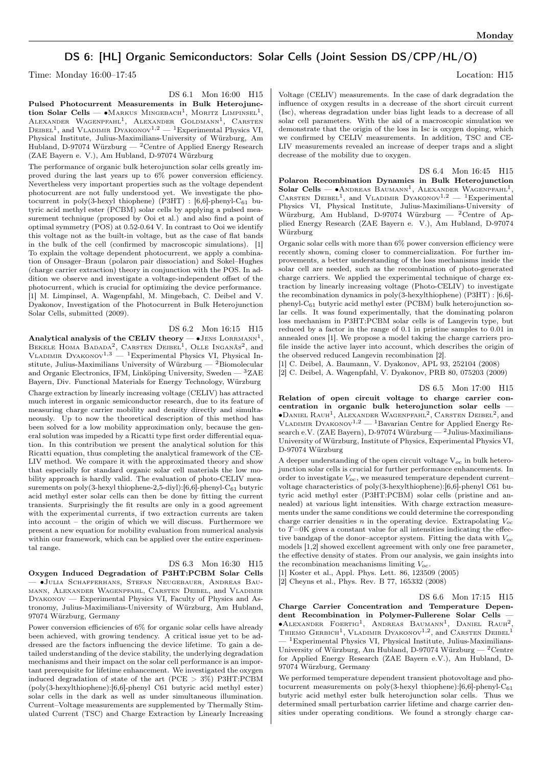## DS 6: [HL] Organic Semiconductors: Solar Cells (Joint Session DS/CPP/HL/O)

Time: Monday  $16:00-17:45$  Location: H15

DS 6.1 Mon 16:00 H15

Pulsed Photocurrent Measurements in Bulk Heterojunction Solar Cells —  $\bullet$ Markus Mingebach<sup>1</sup>, Moritz Limpinsel<sup>1</sup>, ALEXANDER WAGENPFAHL<sup>1</sup>, ALEXANDER GOLDMANN<sup>1</sup>, CARSTEN DEIBEL<sup>1</sup>, and VLADIMIR DYAKONOV<sup>1,2</sup> — <sup>1</sup>Experimental Physics VI, Physical Institute, Julius-Maximilians-University of Würzburg, Am Hubland, D-97074 Würzburg — <sup>2</sup>Centre of Applied Energy Research (ZAE Bayern e. V.), Am Hubland, D-97074 Würzburg

The performance of organic bulk heterojunction solar cells greatly improved during the last years up to 6% power conversion efficiency. Nevertheless very important properties such as the voltage dependent photocurrent are not fully understood yet. We investigate the photocurrent in poly(3-hexyl thiophene) (P3HT) :  $[6,6]$ -phenyl-C<sub>61</sub> butyric acid methyl ester (PCBM) solar cells by applying a pulsed measurement technique (proposed by Ooi et al.) and also find a point of optimal symmetry (POS) at 0.52-0.64 V. In contrast to Ooi we identify this voltage not as the built-in voltage, but as the case of flat bands in the bulk of the cell (confirmed by macroscopic simulations). [1] To explain the voltage dependent photocurrent, we apply a combination of Onsager–Braun (polaron pair dissociation) and Sokel–Hughes (charge carrier extraction) theory in conjunction with the POS. In addition we observe and investigate a voltage-independent offset of the photocurrent, which is crucial for optimizing the device performance. [1] M. Limpinsel, A. Wagenpfahl, M. Mingebach, C. Deibel and V. Dyakonov, Investigation of the Photocurrent in Bulk Heterojunction Solar Cells, submitted (2009).

DS 6.2 Mon 16:15 H15 Analytical analysis of the CELIV theory —  $\bullet$  JENS  $\rm{LORRMANN}^1,$ BEKELE HOMA BADADA<sup>2</sup>, CARSTEN DEIBEL<sup>1</sup>, OLLE INGANÄS<sup>2</sup>, and<br>VLADIMIR DYAKONOV<sup>1,3</sup> — <sup>1</sup>Experimental Physics VI, Physical Institute, Julius-Maximilians University of Würzburg —  $^{2}$ Biomolecular and Organic Electronics, IFM, Linköping University, Sweden — <sup>3</sup>ZAE Bayern, Div. Functional Materials for Energy Technology, Würzburg Charge extraction by linearly increasing voltage (CELIV) has attracted much interest in organic semiconductor research, due to its feature of measuring charge carrier mobility and density directly and simultaneously. Up to now the theoretical description of this method has been solved for a low mobility approximation only, because the general solution was impeded by a Ricatti type first order differential equation. In this contribution we present the analytical solution for this Ricatti equation, thus completing the analytical framework of the CE-LIV method. We compare it with the approximated theory and show that especially for standard organic solar cell materials the low mobility approach is hardly valid. The evaluation of photo-CELIV measurements on poly(3-hexyl thiophene-2,5-diyl): $[6,6]$ -phenyl-C<sub>61</sub> butyric acid methyl ester solar cells can then be done by fitting the current transients. Surprisingly the fit results are only in a good agreement with the experimental currents, if two extraction currents are taken into account – the origin of which we will discuss. Furthermore we present a new equation for mobility evaluation from numerical analysis within our framework, which can be applied over the entire experimental range.

## DS 6.3 Mon 16:30 H15

Oxygen Induced Degradation of P3HT:PCBM Solar Cells — ∙Julia Schafferhans, Stefan Neugebauer, Andreas Baumann, Alexander Wagenpfahl, Carsten Deibel, and Vladimir Dyakonov — Experimental Physics VI, Faculty of Physics and Astronomy, Julius-Maximilians-University of Würzburg, Am Hubland, 97074 Würzburg, Germany

Power conversion efficiencies of 6% for organic solar cells have already been achieved, with growing tendency. A critical issue yet to be addressed are the factors influencing the device lifetime. To gain a detailed understanding of the device stability, the underlying degradation mechanisms and their impact on the solar cell performance is an important prerequisite for lifetime enhancement. We investigated the oxygen induced degradation of state of the art ( $PCE > 3\%$ ) P3HT:PCBM (poly(3-hexylthiophene):[6,6]-phenyl C61 butyric acid methyl ester) solar cells in the dark as well as under simultaneous illumination. Current–Voltage measurements are supplemented by Thermally Stimulated Current (TSC) and Charge Extraction by Linearly Increasing

Voltage (CELIV) measurements. In the case of dark degradation the influence of oxygen results in a decrease of the short circuit current (Isc), whereas degradation under bias light leads to a decrease of all solar cell parameters. With the aid of a macroscopic simulation we demonstrate that the origin of the loss in Isc is oxygen doping, which we confirmed by CELIV measurements. In addition, TSC and CE-LIV measurements revealed an increase of deeper traps and a slight decrease of the mobility due to oxygen.

DS 6.4 Mon 16:45 H15 Polaron Recombination Dynamics in Bulk Heterojunction Solar Cells —  $\bullet$ Andreas Baumann<sup>1</sup>, Alexander Wagenpfahl<sup>1</sup>, CARSTEN DEIBEL<sup>1</sup>, and VLADIMIR DYAKONOV<sup>1,2</sup> - <sup>1</sup>Experimental Physics VI, Physical Institute, Julius-Maximilians-University of Würzburg, Am Hubland, D-97074 Würzburg — <sup>2</sup>Centre of Applied Energy Research (ZAE Bayern e. V.), Am Hubland, D-97074 Würzburg

Organic solar cells with more than 6% power conversion efficiency were recently shown, coming closer to commercialization. For further improvements, a better understanding of the loss mechanisms inside the solar cell are needed, such as the recombination of photo-generated charge carriers. We applied the experimental technique of charge extraction by linearly increasing voltage (Photo-CELIV) to investigate the recombination dynamics in poly(3-hexylthiophene) (P3HT) : [6,6] phenyl-C<sup>61</sup> butyric acid methyl ester (PCBM) bulk heterojunction solar cells. It was found experimentally, that the dominating polaron loss mechanism in P3HT:PCBM solar cells is of Langevin type, but reduced by a factor in the range of 0.1 in pristine samples to 0.01 in annealed ones [1]. We propose a model taking the charge carriers profile inside the active layer into account, which describes the origin of the observed reduced Langevin recombination [2].

[1] C. Deibel, A. Baumann, V. Dyakonov, APL 93, 252104 (2008) [2] C. Deibel, A. Wagenpfahl, V. Dyakonov, PRB 80, 075203 (2009)

## DS 6.5 Mon 17:00 H15

Relation of open circuit voltage to charge carrier concentration in organic bulk heterojunction solar cells — ∙Daniel Rauh<sup>1</sup> , Alexander Wagenpfahl<sup>2</sup> , Carsten Deibel<sup>2</sup> , and VLADIMIR DYAKONOV<sup>1,2</sup> — <sup>1</sup>Bavarian Centre for Applied Energy Research e.V. (ZAE Bayern), D-97074 Würzburg —  $^{2}$  Julius-Maximilians-University of Würzburg, Institute of Physics, Experimental Physics VI, D-97074 Würzburg

A deeper understanding of the open circuit voltage  $V_{oc}$  in bulk heterojunction solar cells is crucial for further performance enhancements. In order to investigate  $V_{oc}$ , we measured temperature dependent current– voltage characteristics of poly(3-hexylthiophene):[6,6]-phenyl C61 butyric acid methyl ester (P3HT:PCBM) solar cells (pristine and annealed) at various light intensities. With charge extraction measurements under the same conditions we could determine the corresponding charge carrier densities  $n$  in the operating device. Extrapolating  $V_{oc}$ to  $T=0$ K gives a constant value for all intensities indicating the effective bandgap of the donor-acceptor system. Fitting the data with  $V_{oc}$ models [1,2] showed excellent agreement with only one free parameter, the effective density of states. From our analysis, we gain insights into the recombination meachanisms limiting  $V_{oc}$ .

[1] Koster et al., Appl. Phys. Lett. 86, 123509 (2005)

[2] Cheyns et al., Phys. Rev. B 77, 165332 (2008)

DS 6.6 Mon 17:15 H15

Charge Carrier Concentration and Temperature Dependent Recombination in Polymer-Fullerene Solar Cells — ∙Alexander Foertig<sup>1</sup> , Andreas Baumann<sup>1</sup> , Daniel Rauh<sup>2</sup> , THIEMO GERBICH<sup>1</sup>, VLADIMIR DYAKONOV<sup>1,2</sup>, and CARSTEN DEIBEL<sup>1</sup> — <sup>1</sup>Experimental Physics VI, Physical Institute, Julius-Maximilians-University of Würzburg, Am Hubland, D-97074 Würzburg —  $^2\mathrm{Centre}$ for Applied Energy Research (ZAE Bayern e.V.), Am Hubland, D-97074 Würzburg, Germany

We performed temperature dependent transient photovoltage and photocurrent measurements on poly(3-hexyl thiophene): $[6,6]$ -phenyl-C<sub>61</sub> butyric acid methyl ester bulk heterojunction solar cells. Thus we determined small perturbation carrier lifetime and charge carrier densities under operating conditions. We found a strongly charge car-